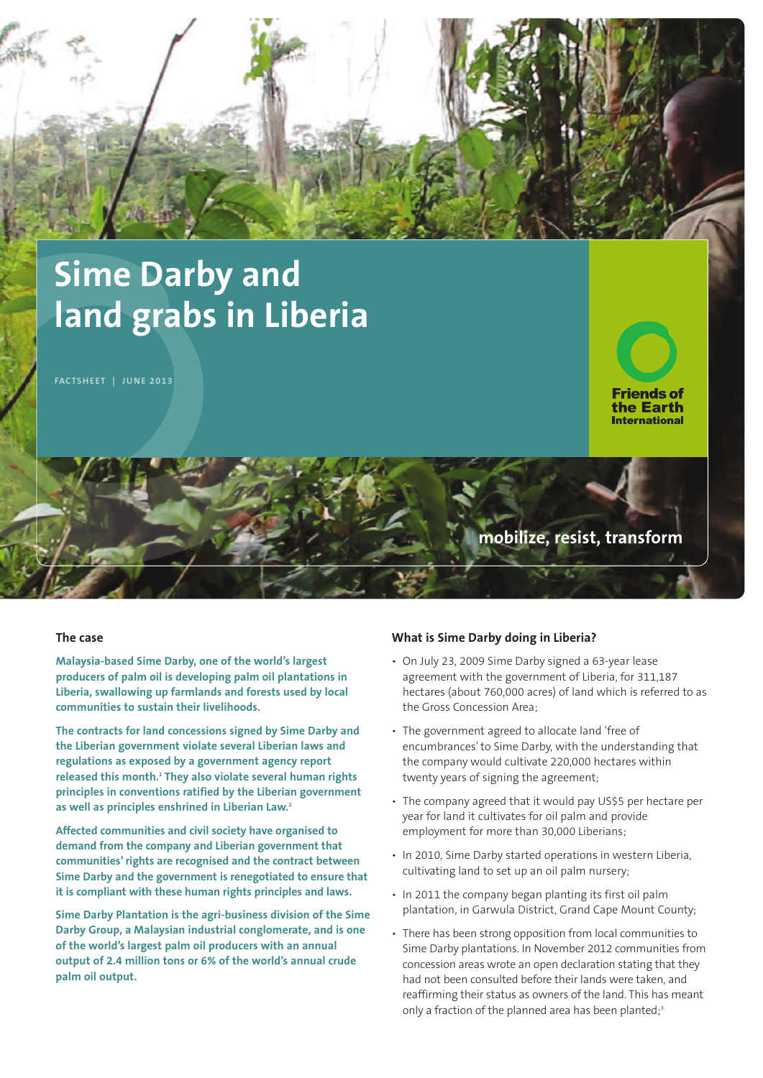

# **Sime Darby and land grabs in Liberia**

**FACTSHEET | JUNE 2013**

**Friends of** the Earth

## **International**

### **mobilize, resist, transform**

#### **The case**

**Malaysia-based Sime Darby, one of the world's largest producers of palm oil is developing palm oil plantations in Liberia, swallowing up farmlands and forests used by local communities to sustain their livelihoods.**

**The contracts for land concessions signed by Sime Darby and the Liberian government violate several Liberian laws and regulations as exposed by a government agency report released this month. <sup>1</sup> They also violate several human rights principles in conventions ratified by the Liberian government as well as principles enshrined in Liberian Law. 2**

**Affected communities and civil society have organised to demand from the company and Liberian government that communities'rights are recognised and the contract between Sime Darby and the government is renegotiated to ensure that it is compliant with these human rights principles and laws.**

**Sime Darby Plantation is the agri-business division of the Sime Darby Group, a Malaysian industrial conglomerate, and is one of the world's largest palm oil producers with an annual output of 2.4 million tons or 6% of the world's annual crude palm oil output.**

#### **What is Sime Darby doing in Liberia?**

- On July 23, 2009 Sime Darby signed a 63-year lease agreement with the government of Liberia, for 311,187 hectares (about 760,000 acres) of land which is referred to as the Gross Concession Area;
- The government agreed to allocate land 'free of encumbrances'to Sime Darby, with the understanding that the company would cultivate 220,000 hectares within twenty years of signing the agreement;
- The company agreed that it would pay US\$5 per hectare per year for land it cultivates for oil palm and provide employment for more than 30,000 Liberians;
- In 2010, Sime Darby started operations in western Liberia, cultivating land to set up an oil palm nursery;
- In 2011 the company began planting its first oil palm plantation, in Garwula District, Grand Cape Mount County;
- There has been strong opposition from local communities to Sime Darby plantations. In November 2012 communities from concession areas wrote an open declaration stating that they had not been consulted before their lands were taken, and reaffirming their status as owners of the land. This has meant only a fraction of the planned area has been planted; 3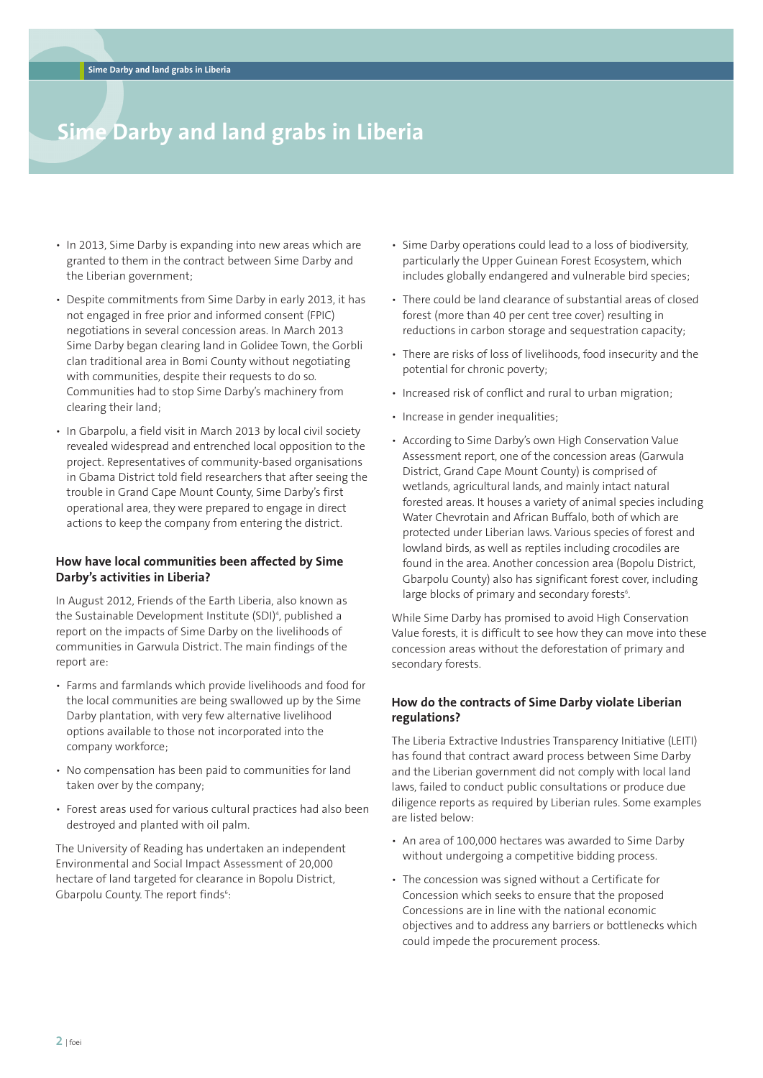### **Sime Darby and land grabs in Liberia**

- In 2013, Sime Darby is expanding into new areas which are granted to them in the contract between Sime Darby and the Liberian government;
- Despite commitments from Sime Darby in early 2013, it has not engaged in free prior and informed consent (FPIC) negotiations in several concession areas. In March 2013 Sime Darby began clearing land in Golidee Town, the Gorbli clan traditional area in Bomi County without negotiating with communities, despite their requests to do so. Communities had to stop Sime Darby's machinery from clearing their land;
- In Gbarpolu, a field visit in March 2013 by local civil society revealed widespread and entrenched local opposition to the project. Representatives of community-based organisations in Gbama District told field researchers that after seeing the trouble in Grand Cape Mount County, Sime Darby's first operational area, they were prepared to engage in direct actions to keep the company from entering the district.

#### **How have local communities been affected by Sime Darby's activities in Liberia?**

In August 2012, Friends of the Earth Liberia, also known as the Sustainable Development Institute (SDI) 4 , published a report on the impacts of Sime Darby on the livelihoods of communities in Garwula District. The main findings of the report are:

- Farms and farmlands which provide livelihoods and food for the local communities are being swallowed up by the Sime Darby plantation, with very few alternative livelihood options available to those not incorporated into the company workforce;
- No compensation has been paid to communities for land taken over by the company;
- Forest areas used for various cultural practices had also been destroyed and planted with oil palm.

The University of Reading has undertaken an independent Environmental and Social Impact Assessment of 20,000 hectare of land targeted for clearance in Bopolu District, Gbarpolu County. The report finds<sup>6</sup>:

- Sime Darby operations could lead to a loss of biodiversity, particularly the Upper Guinean Forest Ecosystem, which includes globally endangered and vulnerable bird species;
- There could be land clearance of substantial areas of closed forest (more than 40 per cent tree cover) resulting in reductions in carbon storage and sequestration capacity;
- There are risks of loss of livelihoods, food insecurity and the potential for chronic poverty;
- Increased risk of conflict and rural to urban migration;
- Increase in gender inequalities;
- According to Sime Darby's own High Conservation Value Assessment report, one of the concession areas (Garwula District, Grand Cape Mount County) is comprised of wetlands, agricultural lands, and mainly intact natural forested areas. It houses a variety of animal species including Water Chevrotain and African Buffalo, both of which are protected under Liberian laws. Various species of forest and lowland birds, as well as reptiles including crocodiles are found in the area. Another concession area (Bopolu District, Gbarpolu County) also has significant forest cover, including large blocks of primary and secondary forests<sup>6</sup>.

While Sime Darby has promised to avoid High Conservation Value forests, it is difficult to see how they can move into these concession areas without the deforestation of primary and secondary forests.

#### **How do the contracts of Sime Darby violate Liberian regulations?**

The Liberia Extractive Industries Transparency Initiative (LEITI) has found that contract award process between Sime Darby and the Liberian government did not comply with local land laws, failed to conduct public consultations or produce due diligence reports as required by Liberian rules. Some examples are listed below:

- An area of 100,000 hectares was awarded to Sime Darby without undergoing a competitive bidding process.
- The concession was signed without a Certificate for Concession which seeks to ensure that the proposed Concessions are in line with the national economic objectives and to address any barriers or bottlenecks which could impede the procurement process.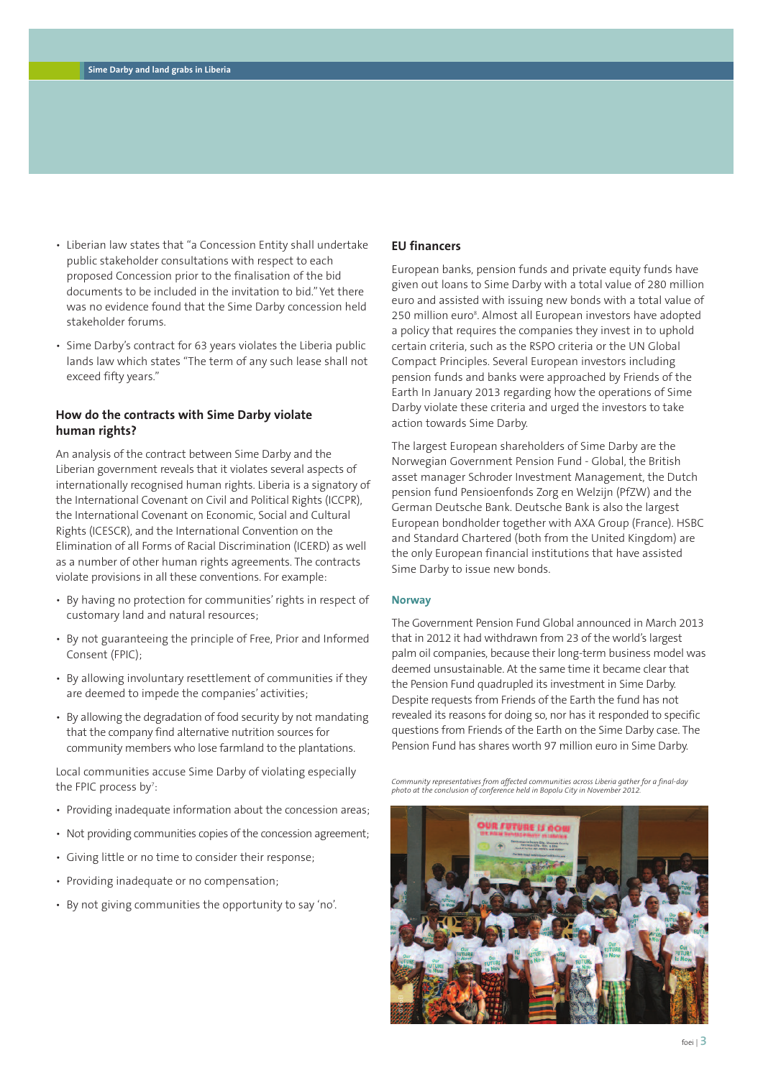- Liberian law states that "a Concession Entity shall undertake public stakeholder consultations with respect to each proposed Concession prior to the finalisation of the bid documents to be included in the invitation to bid." Yet there was no evidence found that the Sime Darby concession held stakeholder forums.
- Sime Darby's contract for 63 years violates the Liberia public lands law which states "The term of any such lease shall not exceed fifty years."

#### **How do the contracts with Sime Darby violate human rights?**

An analysis of the contract between Sime Darby and the Liberian government reveals that it violates several aspects of internationally recognised human rights. Liberia is a signatory of the International Covenant on Civil and Political Rights (ICCPR), the International Covenant on Economic, Social and Cultural Rights (ICESCR), and the International Convention on the Elimination of all Forms of Racial Discrimination (ICERD) as well as a number of other human rights agreements. The contracts violate provisions in all these conventions. For example:

- By having no protection for communities'rights in respect of customary land and natural resources;
- By not guaranteeing the principle of Free, Prior and Informed Consent (FPIC);
- By allowing involuntary resettlement of communities if they are deemed to impede the companies' activities;
- By allowing the degradation of food security by not mandating that the company find alternative nutrition sources for community members who lose farmland to the plantations.

Local communities accuse Sime Darby of violating especially the FPIC process by<sup>7</sup>:

- Providing inadequate information about the concession areas;
- Not providing communities copies of the concession agreement;
- Giving little or no time to consider their response;
- Providing inadequate or no compensation;
- By not giving communities the opportunity to say 'no'.

#### **EU financers**

European banks, pension funds and private equity funds have given out loans to Sime Darby with a total value of 280 million euro and assisted with issuing new bonds with a total value of 250 million euro<sup>8</sup>. Almost all European investors have adopted a policy that requires the companies they invest in to uphold certain criteria, such as the RSPO criteria or the UN Global Compact Principles. Several European investors including pension funds and banks were approached by Friends of the Earth In January 2013 regarding how the operations of Sime Darby violate these criteria and urged the investors to take action towards Sime Darby.

The largest European shareholders of Sime Darby are the Norwegian Government Pension Fund - Global, the British asset manager Schroder Investment Management, the Dutch pension fund Pensioenfonds Zorg en Welzijn (PfZW) and the German Deutsche Bank. Deutsche Bank is also the largest European bondholder together with AXA Group (France). HSBC and Standard Chartered (both from the United Kingdom) are the only European financial institutions that have assisted Sime Darby to issue new bonds.

#### **Norway**

The Government Pension Fund Global announced in March 2013 that in 2012 it had withdrawn from 23 of the world's largest palm oil companies, because their long-term business model was deemed unsustainable. At the same time it became clear that the Pension Fund quadrupled its investment in Sime Darby. Despite requests from Friends of the Earth the fund has not revealed its reasons for doing so, nor has it responded to specific questions from Friends of the Earth on the Sime Darby case. The Pension Fund has shares worth 97 million euro in Sime Darby.

*Community representatives from affected communities across Liberia gather for a final-day photo at the conclusion of conference held in Bopolu City in November 2012.*

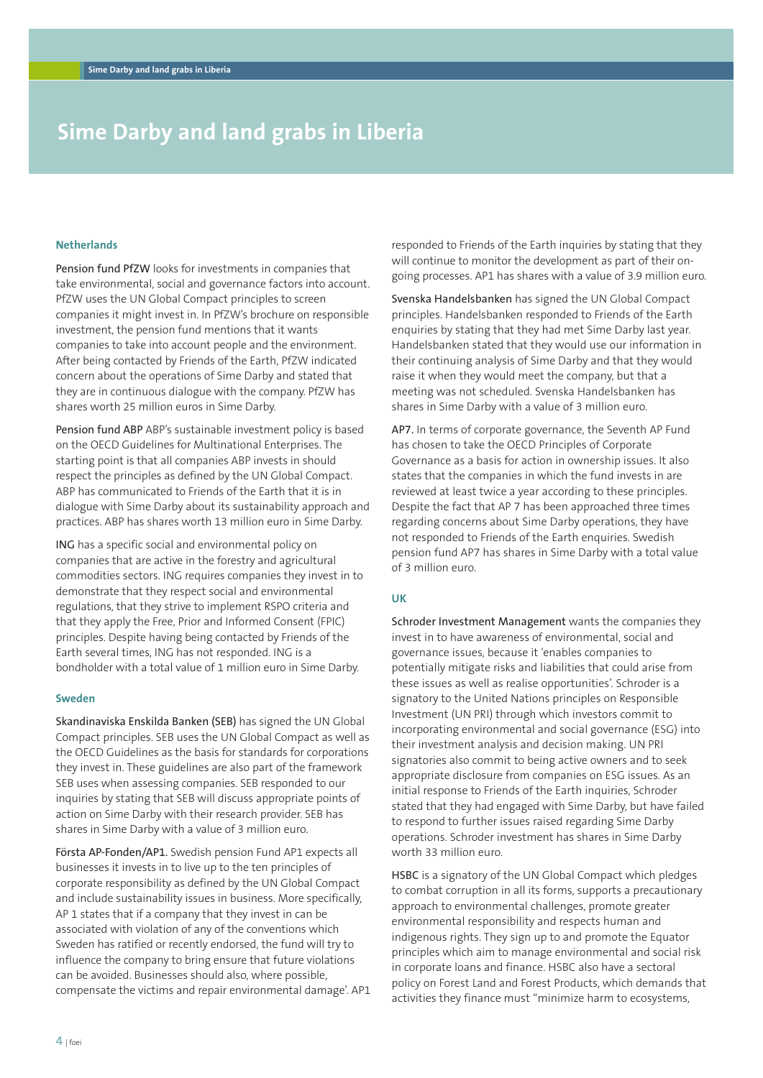### **Sime Darby and land grabs in Liberia**

#### **Netherlands**

Pension fund PfZW looks for investments in companies that take environmental, social and governance factors into account. PfZW uses the UN Global Compact principles to screen companies it might invest in. In PfZW's brochure on responsible investment, the pension fund mentions that it wants companies to take into account people and the environment. After being contacted by Friends of the Earth, PfZW indicated concern about the operations of Sime Darby and stated that they are in continuous dialogue with the company. PfZW has shares worth 25 million euros in Sime Darby.

Pension fund ABP ABP's sustainable investment policy is based on the OECD Guidelines for Multinational Enterprises. The starting point is that all companies ABP invests in should respect the principles as defined by the UN Global Compact. ABP has communicated to Friends of the Earth that it is in dialogue with Sime Darby about its sustainability approach and practices. ABP has shares worth 13 million euro in Sime Darby.

ING has a specific social and environmental policy on companies that are active in the forestry and agricultural commodities sectors. ING requires companies they invest in to demonstrate that they respect social and environmental regulations, that they strive to implement RSPO criteria and that they apply the Free, Prior and Informed Consent (FPIC) principles. Despite having being contacted by Friends of the Earth several times, ING has not responded. ING is a bondholder with a total value of 1 million euro in Sime Darby.

#### **Sweden**

Skandinaviska Enskilda Banken (SEB) has signed the UN Global Compact principles. SEB uses the UN Global Compact as well as the OECD Guidelines as the basis for standards for corporations they invest in. These guidelines are also part of the framework SEB uses when assessing companies. SEB responded to our inquiries by stating that SEB will discuss appropriate points of action on Sime Darby with their research provider. SEB has shares in Sime Darby with a value of 3 million euro.

Första AP-Fonden/AP1. Swedish pension Fund AP1 expects all businesses it invests in to live up to the ten principles of corporate responsibility as defined by the UN Global Compact and include sustainability issues in business. More specifically, AP 1 states that if a company that they invest in can be associated with violation of any of the conventions which Sweden has ratified or recently endorsed, the fund will try to influence the company to bring ensure that future violations can be avoided. Businesses should also, where possible, compensate the victims and repair environmental damage'. AP1 responded to Friends of the Earth inquiries by stating that they will continue to monitor the development as part of their ongoing processes. AP1 has shares with a value of 3.9 million euro.

Svenska Handelsbanken has signed the UN Global Compact principles. Handelsbanken responded to Friends of the Earth enquiries by stating that they had met Sime Darby last year. Handelsbanken stated that they would use our information in their continuing analysis of Sime Darby and that they would raise it when they would meet the company, but that a meeting was not scheduled. Svenska Handelsbanken has shares in Sime Darby with a value of 3 million euro.

AP7. In terms of corporate governance, the Seventh AP Fund has chosen to take the OECD Principles of Corporate Governance as a basis for action in ownership issues. It also states that the companies in which the fund invests in are reviewed at least twice a year according to these principles. Despite the fact that AP 7 has been approached three times regarding concerns about Sime Darby operations, they have not responded to Friends of the Earth enquiries. Swedish pension fund AP7 has shares in Sime Darby with a total value of 3 million euro.

#### **UK**

Schroder Investment Management wants the companies they invest in to have awareness of environmental, social and governance issues, because it 'enables companies to potentially mitigate risks and liabilities that could arise from these issues as well as realise opportunities'. Schroder is a signatory to the United Nations principles on Responsible Investment (UN PRI) through which investors commit to incorporating environmental and social governance (ESG) into their investment analysis and decision making. UN PRI signatories also commit to being active owners and to seek appropriate disclosure from companies on ESG issues. As an initial response to Friends of the Earth inquiries, Schroder stated that they had engaged with Sime Darby, but have failed to respond to further issues raised regarding Sime Darby operations. Schroder investment has shares in Sime Darby worth 33 million euro.

HSBC is a signatory of the UN Global Compact which pledges to combat corruption in all its forms, supports a precautionary approach to environmental challenges, promote greater environmental responsibility and respects human and indigenous rights. They sign up to and promote the Equator principles which aim to manage environmental and social risk in corporate loans and finance. HSBC also have a sectoral policy on Forest Land and Forest Products, which demands that activities they finance must "minimize harm to ecosystems,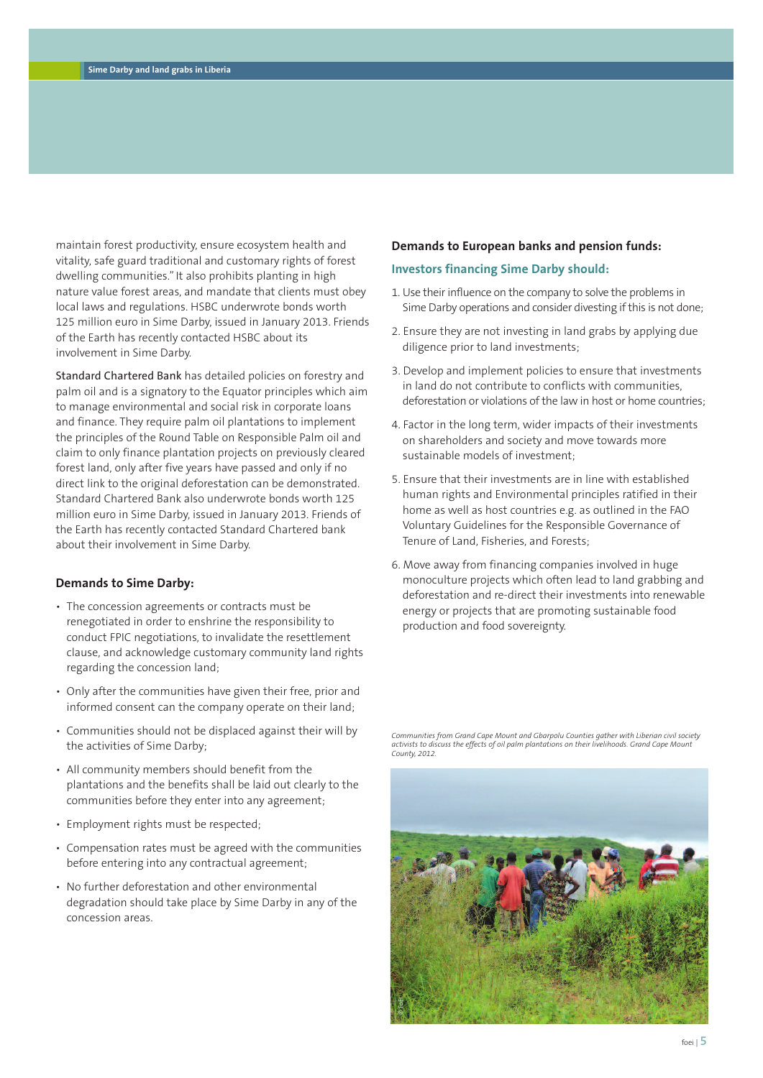maintain forest productivity, ensure ecosystem health and vitality, safe guard traditional and customary rights of forest dwelling communities." It also prohibits planting in high nature value forest areas, and mandate that clients must obey local laws and regulations. HSBC underwrote bonds worth 125 million euro in Sime Darby, issued in January 2013. Friends of the Earth has recently contacted HSBC about its involvement in Sime Darby.

Standard Chartered Bank has detailed policies on forestry and palm oil and is a signatory to the Equator principles which aim to manage environmental and social risk in corporate loans and finance. They require palm oil plantations to implement the principles of the Round Table on Responsible Palm oil and claim to only finance plantation projects on previously cleared forest land, only after five years have passed and only if no direct link to the original deforestation can be demonstrated. Standard Chartered Bank also underwrote bonds worth 125 million euro in Sime Darby, issued in January 2013. Friends of the Earth has recently contacted Standard Chartered bank about their involvement in Sime Darby.

#### **Demands to Sime Darby:**

- The concession agreements or contracts must be renegotiated in order to enshrine the responsibility to conduct FPIC negotiations, to invalidate the resettlement clause, and acknowledge customary community land rights regarding the concession land;
- Only after the communities have given their free, prior and informed consent can the company operate on their land;
- Communities should not be displaced against their will by the activities of Sime Darby;
- All community members should benefit from the plantations and the benefits shall be laid out clearly to the communities before they enter into any agreement;
- Employment rights must be respected;
- Compensation rates must be agreed with the communities before entering into any contractual agreement;
- No further deforestation and other environmental degradation should take place by Sime Darby in any of the concession areas.

#### **Demands to European banks and pension funds:**

#### **Investors financing Sime Darby should:**

- 1. Use their influence on the company to solve the problems in Sime Darby operations and consider divesting if this is not done;
- 2. Ensure they are not investing in land grabs by applying due diligence prior to land investments;
- 3. Develop and implement policies to ensure that investments in land do not contribute to conflicts with communities, deforestation or violations of the law in host or home countries;
- 4. Factor in the long term, wider impacts of their investments on shareholders and society and move towards more sustainable models of investment;
- 5. Ensure that their investments are in line with established human rights and Environmental principles ratified in their home as well as host countries e.g. as outlined in the FAO Voluntary Guidelines for the Responsible Governance of Tenure of Land, Fisheries, and Forests;
- 6. Move away from financing companies involved in huge monoculture projects which often lead to land grabbing and deforestation and re-direct their investments into renewable energy or projects that are promoting sustainable food production and food sovereignty.

Communities from Grand Cape Mount and Gbarpolu Counties gather with Liberian civil society<br>activists to discuss the effects of oil palm plantations on their livelihoods. Grand Cape Mount *County, 2012.*